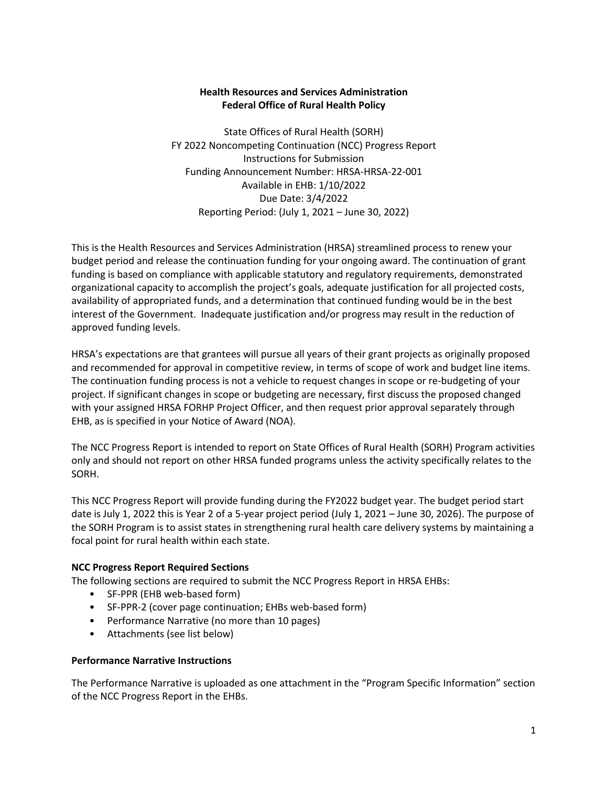# **Health Resources and Services Administration Federal Office of Rural Health Policy**

State Offices of Rural Health (SORH) FY 2022 Noncompeting Continuation (NCC) Progress Report Instructions for Submission Funding Announcement Number: HRSA-HRSA-22-001 Available in EHB: 1/10/2022 Due Date: 3/4/2022 Reporting Period: (July 1, 2021 – June 30, 2022)

This is the Health Resources and Services Administration (HRSA) streamlined process to renew your budget period and release the continuation funding for your ongoing award. The continuation of grant funding is based on compliance with applicable statutory and regulatory requirements, demonstrated organizational capacity to accomplish the project's goals, adequate justification for all projected costs, availability of appropriated funds, and a determination that continued funding would be in the best interest of the Government. Inadequate justification and/or progress may result in the reduction of approved funding levels.

HRSA's expectations are that grantees will pursue all years of their grant projects as originally proposed and recommended for approval in competitive review, in terms of scope of work and budget line items. The continuation funding process is not a vehicle to request changes in scope or re-budgeting of your project. If significant changes in scope or budgeting are necessary, first discuss the proposed changed with your assigned HRSA FORHP Project Officer, and then request prior approval separately through EHB, as is specified in your Notice of Award (NOA).

The NCC Progress Report is intended to report on State Offices of Rural Health (SORH) Program activities only and should not report on other HRSA funded programs unless the activity specifically relates to the SORH.

This NCC Progress Report will provide funding during the FY2022 budget year. The budget period start date is July 1, 2022 this is Year 2 of a 5-year project period (July 1, 2021 – June 30, 2026). The purpose of the SORH Program is to assist states in strengthening rural health care delivery systems by maintaining a focal point for rural health within each state.

# **NCC Progress Report Required Sections**

The following sections are required to submit the NCC Progress Report in HRSA EHBs:

- SF-PPR (EHB web-based form)
- SF-PPR-2 (cover page continuation; EHBs web-based form)
- Performance Narrative (no more than 10 pages)
- Attachments (see list below)

### **Performance Narrative Instructions**

The Performance Narrative is uploaded as one attachment in the "Program Specific Information" section of the NCC Progress Report in the EHBs.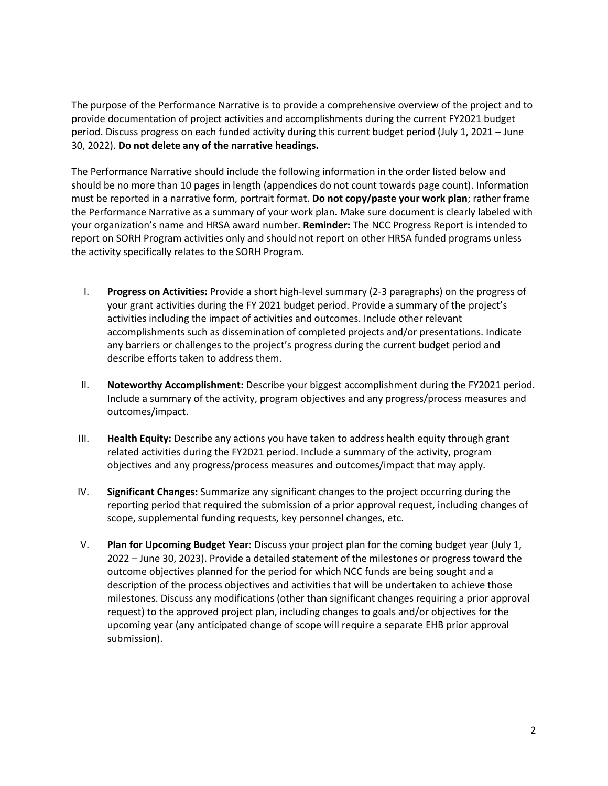The purpose of the Performance Narrative is to provide a comprehensive overview of the project and to provide documentation of project activities and accomplishments during the current FY2021 budget period. Discuss progress on each funded activity during this current budget period (July 1, 2021 – June 30, 2022). **Do not delete any of the narrative headings.**

The Performance Narrative should include the following information in the order listed below and should be no more than 10 pages in length (appendices do not count towards page count). Information must be reported in a narrative form, portrait format. **Do not copy/paste your work plan**; rather frame the Performance Narrative as a summary of your work plan**.** Make sure document is clearly labeled with your organization's name and HRSA award number. **Reminder:** The NCC Progress Report is intended to report on SORH Program activities only and should not report on other HRSA funded programs unless the activity specifically relates to the SORH Program.

- I. **Progress on Activities:** Provide a short high-level summary (2-3 paragraphs) on the progress of your grant activities during the FY 2021 budget period. Provide a summary of the project's activities including the impact of activities and outcomes. Include other relevant accomplishments such as dissemination of completed projects and/or presentations. Indicate any barriers or challenges to the project's progress during the current budget period and describe efforts taken to address them.
- II. **Noteworthy Accomplishment:** Describe your biggest accomplishment during the FY2021 period. Include a summary of the activity, program objectives and any progress/process measures and outcomes/impact.
- III. **Health Equity:** Describe any actions you have taken to address health equity through grant related activities during the FY2021 period. Include a summary of the activity, program objectives and any progress/process measures and outcomes/impact that may apply.
- IV. **Significant Changes:** Summarize any significant changes to the project occurring during the reporting period that required the submission of a prior approval request, including changes of scope, supplemental funding requests, key personnel changes, etc.
- V. **Plan for Upcoming Budget Year:** Discuss your project plan for the coming budget year (July 1, 2022 – June 30, 2023). Provide a detailed statement of the milestones or progress toward the outcome objectives planned for the period for which NCC funds are being sought and a description of the process objectives and activities that will be undertaken to achieve those milestones. Discuss any modifications (other than significant changes requiring a prior approval request) to the approved project plan, including changes to goals and/or objectives for the upcoming year (any anticipated change of scope will require a separate EHB prior approval submission).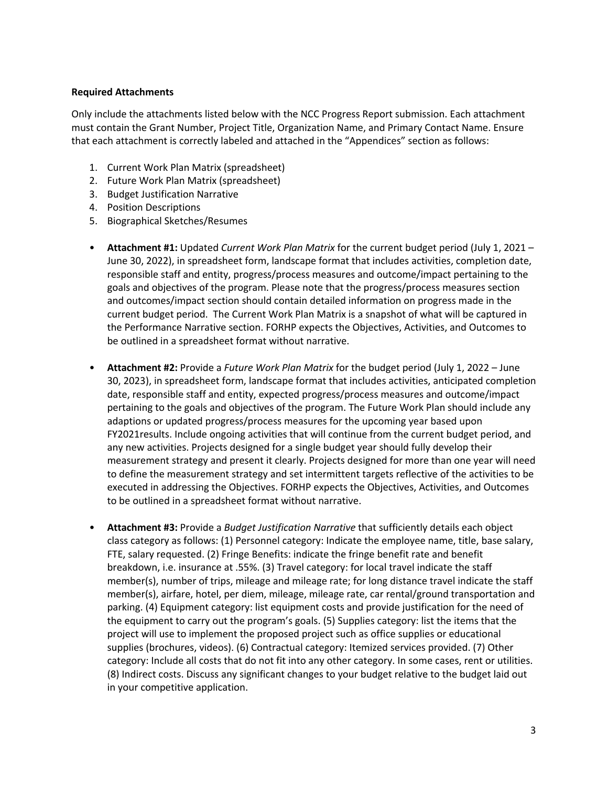#### **Required Attachments**

Only include the attachments listed below with the NCC Progress Report submission. Each attachment must contain the Grant Number, Project Title, Organization Name, and Primary Contact Name. Ensure that each attachment is correctly labeled and attached in the "Appendices" section as follows:

- 1. Current Work Plan Matrix (spreadsheet)
- 2. Future Work Plan Matrix (spreadsheet)
- 3. Budget Justification Narrative
- 4. Position Descriptions
- 5. Biographical Sketches/Resumes
- **Attachment #1:** Updated *Current Work Plan Matrix* for the current budget period (July 1, 2021 June 30, 2022), in spreadsheet form, landscape format that includes activities, completion date, responsible staff and entity, progress/process measures and outcome/impact pertaining to the goals and objectives of the program. Please note that the progress/process measures section and outcomes/impact section should contain detailed information on progress made in the current budget period. The Current Work Plan Matrix is a snapshot of what will be captured in the Performance Narrative section. FORHP expects the Objectives, Activities, and Outcomes to be outlined in a spreadsheet format without narrative.
- **Attachment #2:** Provide a *Future Work Plan Matrix* for the budget period (July 1, 2022 June 30, 2023), in spreadsheet form, landscape format that includes activities, anticipated completion date, responsible staff and entity, expected progress/process measures and outcome/impact pertaining to the goals and objectives of the program. The Future Work Plan should include any adaptions or updated progress/process measures for the upcoming year based upon FY2021results. Include ongoing activities that will continue from the current budget period, and any new activities. Projects designed for a single budget year should fully develop their measurement strategy and present it clearly. Projects designed for more than one year will need to define the measurement strategy and set intermittent targets reflective of the activities to be executed in addressing the Objectives. FORHP expects the Objectives, Activities, and Outcomes to be outlined in a spreadsheet format without narrative.
- **Attachment #3:** Provide a *Budget Justification Narrative* that sufficiently details each object class category as follows: (1) Personnel category: Indicate the employee name, title, base salary, FTE, salary requested. (2) Fringe Benefits: indicate the fringe benefit rate and benefit breakdown, i.e. insurance at .55%. (3) Travel category: for local travel indicate the staff member(s), number of trips, mileage and mileage rate; for long distance travel indicate the staff member(s), airfare, hotel, per diem, mileage, mileage rate, car rental/ground transportation and parking. (4) Equipment category: list equipment costs and provide justification for the need of the equipment to carry out the program's goals. (5) Supplies category: list the items that the project will use to implement the proposed project such as office supplies or educational supplies (brochures, videos). (6) Contractual category: Itemized services provided. (7) Other category: Include all costs that do not fit into any other category. In some cases, rent or utilities. (8) Indirect costs. Discuss any significant changes to your budget relative to the budget laid out in your competitive application.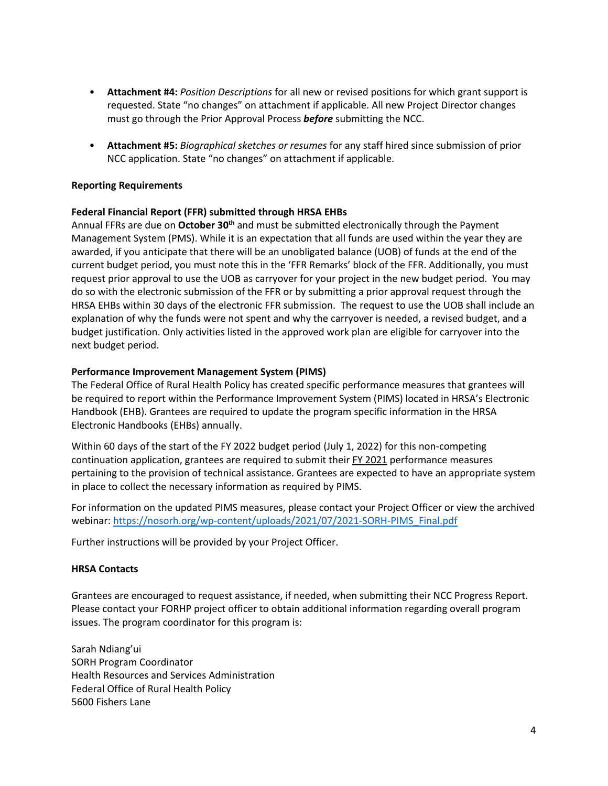- **Attachment #4:** *Position Descriptions* for all new or revised positions for which grant support is requested. State "no changes" on attachment if applicable. All new Project Director changes must go through the Prior Approval Process *before* submitting the NCC.
- **Attachment #5:** *Biographical sketches or resumes* for any staff hired since submission of prior NCC application. State "no changes" on attachment if applicable.

### **Reporting Requirements**

### **Federal Financial Report (FFR) submitted through HRSA EHBs**

Annual FFRs are due on **October 30th** and must be submitted electronically through the Payment Management System (PMS). While it is an expectation that all funds are used within the year they are awarded, if you anticipate that there will be an unobligated balance (UOB) of funds at the end of the current budget period, you must note this in the 'FFR Remarks' block of the FFR. Additionally, you must request prior approval to use the UOB as carryover for your project in the new budget period. You may do so with the electronic submission of the FFR or by submitting a prior approval request through the HRSA EHBs within 30 days of the electronic FFR submission. The request to use the UOB shall include an explanation of why the funds were not spent and why the carryover is needed, a revised budget, and a budget justification. Only activities listed in the approved work plan are eligible for carryover into the next budget period.

# **Performance Improvement Management System (PIMS)**

The Federal Office of Rural Health Policy has created specific performance measures that grantees will be required to report within the Performance Improvement System (PIMS) located in HRSA's Electronic Handbook (EHB). Grantees are required to update the program specific information in the HRSA Electronic Handbooks (EHBs) annually.

Within 60 days of the start of the FY 2022 budget period (July 1, 2022) for this non-competing continuation application, grantees are required to submit their FY 2021 performance measures pertaining to the provision of technical assistance. Grantees are expected to have an appropriate system in place to collect the necessary information as required by PIMS.

For information on the updated PIMS measures, please contact your Project Officer or view the archived webinar: https://nosorh.org/wp-content/uploads/2021/07/2021-SORH-PIMS\_Final.pdf

Further instructions will be provided by your Project Officer.

### **HRSA Contacts**

Grantees are encouraged to request assistance, if needed, when submitting their NCC Progress Report. Please contact your FORHP project officer to obtain additional information regarding overall program issues. The program coordinator for this program is:

Sarah Ndiang'ui SORH Program Coordinator Health Resources and Services Administration Federal Office of Rural Health Policy 5600 Fishers Lane